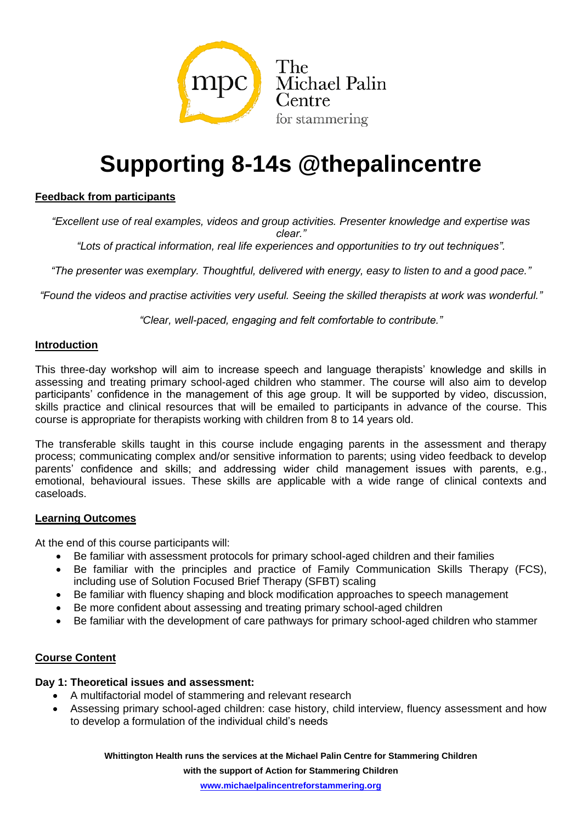

# **Supporting 8-14s @thepalincentre**

### **Feedback from participants**

*"Excellent use of real examples, videos and group activities. Presenter knowledge and expertise was clear."*

*"Lots of practical information, real life experiences and opportunities to try out techniques".*

*"The presenter was exemplary. Thoughtful, delivered with energy, easy to listen to and a good pace."*

*"Found the videos and practise activities very useful. Seeing the skilled therapists at work was wonderful."*

*"Clear, well-paced, engaging and felt comfortable to contribute."*

#### **Introduction**

This three-day workshop will aim to increase speech and language therapists' knowledge and skills in assessing and treating primary school-aged children who stammer. The course will also aim to develop participants' confidence in the management of this age group. It will be supported by video, discussion, skills practice and clinical resources that will be emailed to participants in advance of the course. This course is appropriate for therapists working with children from 8 to 14 years old.

The transferable skills taught in this course include engaging parents in the assessment and therapy process; communicating complex and/or sensitive information to parents; using video feedback to develop parents' confidence and skills; and addressing wider child management issues with parents, e.g., emotional, behavioural issues. These skills are applicable with a wide range of clinical contexts and caseloads.

#### **Learning Outcomes**

At the end of this course participants will:

- Be familiar with assessment protocols for primary school-aged children and their families
- Be familiar with the principles and practice of Family Communication Skills Therapy (FCS), including use of Solution Focused Brief Therapy (SFBT) scaling
- Be familiar with fluency shaping and block modification approaches to speech management
- Be more confident about assessing and treating primary school-aged children
- Be familiar with the development of care pathways for primary school-aged children who stammer

#### **Course Content**

#### **Day 1: Theoretical issues and assessment:**

- A multifactorial model of stammering and relevant research
- Assessing primary school-aged children: case history, child interview, fluency assessment and how to develop a formulation of the individual child's needs

**Whittington Health runs the services at the Michael Palin Centre for Stammering Children** 

**with the support of Action for Stammering Children**